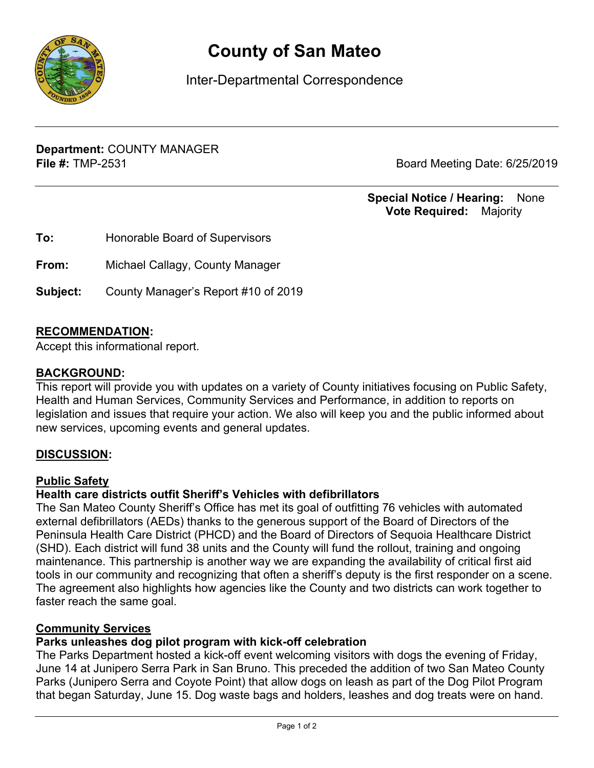

# **County of San Mateo**

Inter-Departmental Correspondence

**Department:** COUNTY MANAGER **File #:** TMP-2531 Board Meeting Date: 6/25/2019

## **Special Notice / Hearing:** None\_\_ **Vote Required:** Majority

| To:      | Honorable Board of Supervisors      |
|----------|-------------------------------------|
| From:    | Michael Callagy, County Manager     |
| Subject: | County Manager's Report #10 of 2019 |

## **RECOMMENDATION:**

Accept this informational report.

#### **BACKGROUND:**

This report will provide you with updates on a variety of County initiatives focusing on Public Safety, Health and Human Services, Community Services and Performance, in addition to reports on legislation and issues that require your action. We also will keep you and the public informed about new services, upcoming events and general updates.

## **DISCUSSION:**

#### **Public Safety**

## **Health care districts outfit Sheriff's Vehicles with defibrillators**

The San Mateo County Sheriff's Office has met its goal of outfitting 76 vehicles with automated external defibrillators (AEDs) thanks to the generous support of the Board of Directors of the Peninsula Health Care District (PHCD) and the Board of Directors of Sequoia Healthcare District (SHD). Each district will fund 38 units and the County will fund the rollout, training and ongoing maintenance. This partnership is another way we are expanding the availability of critical first aid tools in our community and recognizing that often a sheriff's deputy is the first responder on a scene. The agreement also highlights how agencies like the County and two districts can work together to faster reach the same goal.

#### **Community Services**

## **Parks unleashes dog pilot program with kick-off celebration**

The Parks Department hosted a kick-off event welcoming visitors with dogs the evening of Friday, June 14 at Junipero Serra Park in San Bruno. This preceded the addition of two San Mateo County Parks (Junipero Serra and Coyote Point) that allow dogs on leash as part of the Dog Pilot Program that began Saturday, June 15. Dog waste bags and holders, leashes and dog treats were on hand.